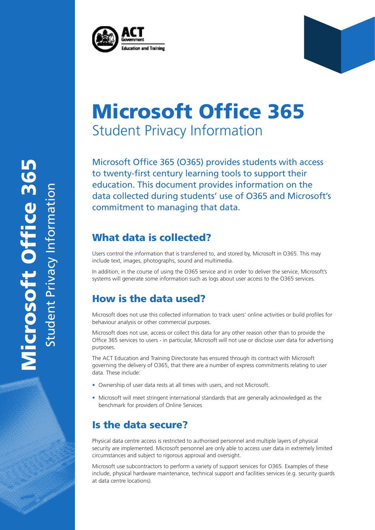

# Microsoft Office 365 Student Privacy Information

Microsoft Office 365 (O365) provides students with access to twenty-first century learning tools to support their education. This document provides information on the data collected during students' use of O365 and Microsoft's commitment to managing that data.

## What data is collected?

Users control the information that is transferred to, and stored by, Microsoft in O365. This may include text, images, photographs, sound and multimedia.

In addition, in the course of using the O365 service and in order to deliver the service, Microsoft's systems will generate some information such as logs about user access to the O365 services.

## How is the data used?

Microsoft does not use this collected information to track users' online activities or build profiles for behaviour analysis or other commercial purposes.

Microsoft does not use, access or collect this data for any other reason other than to provide the Office 365 services to users - in particular, Microsoft will not use or disclose user data for advertising purposes.

The ACT Education and Training Directorate has ensured through its contract with Microsoft governing the delivery of O365, that there are a number of express commitments relating to user data. These include:

- Ownership of user data rests at all times with users, and not Microsoft.
- Microsoft will meet stringent international standards that are generally acknowledged as the benchmark for providers of Online Services

### Is the data secure?

Physical data centre access is restricted to authorised personnel and multiple layers of physical security are implemented. Microsoft personnel are only able to access user data in extremely limited circumstances and subject to rigorous approval and oversight.

Microsoft use subcontractors to perform a variety of support services for O365. Examples of these include, physical hardware maintenance, technical support and facilities services (e.g. security guards at data centre locations).